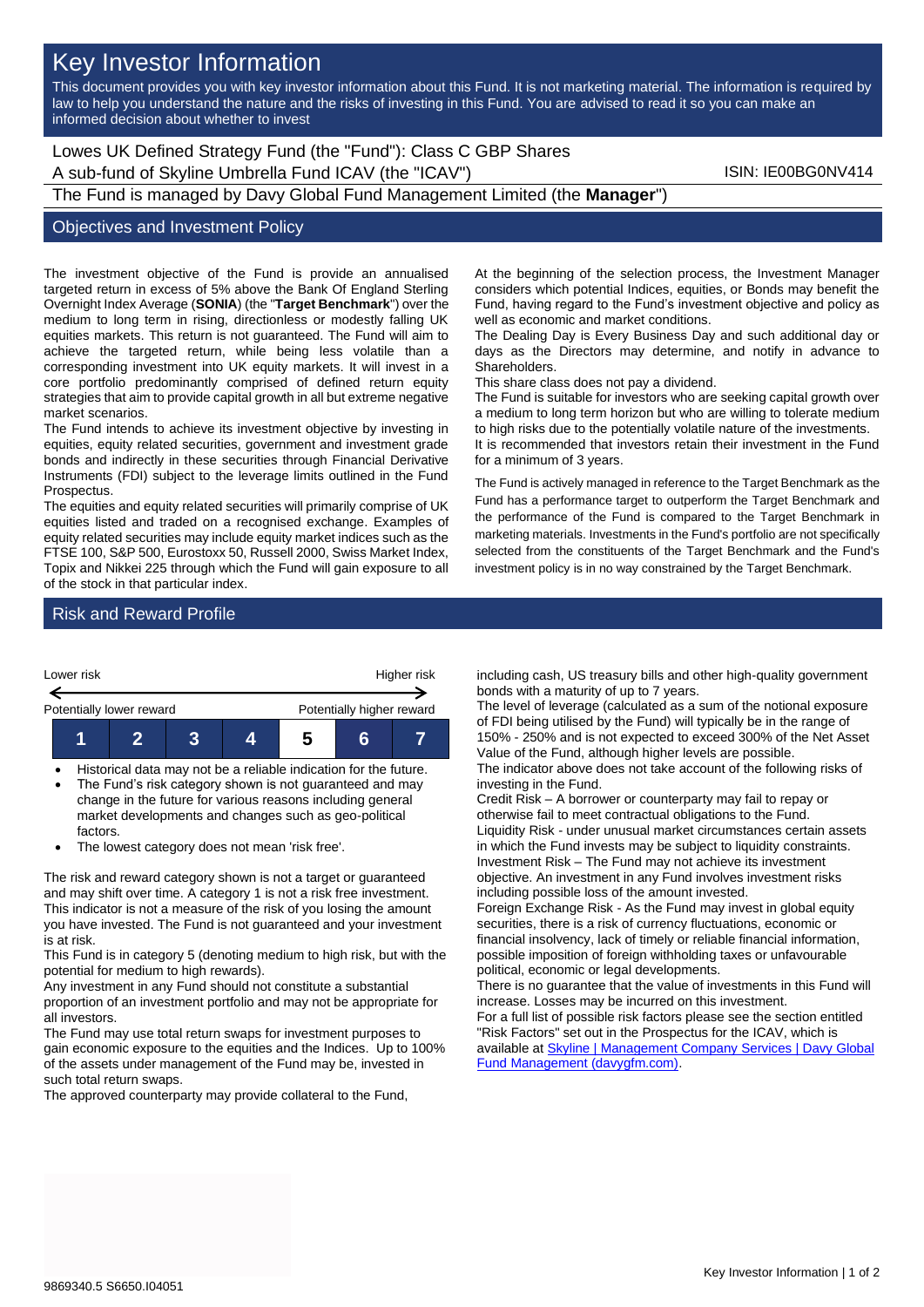# Key Investor Information

This document provides you with key investor information about this Fund. It is not marketing material. The information is required by law to help you understand the nature and the risks of investing in this Fund. You are advised to read it so you can make an informed decision about whether to invest

Lowes UK Defined Strategy Fund (the "Fund"): Class C GBP Shares A sub-fund of Skyline Umbrella Fund ICAV (the "ICAV") ISIN: IE00BG0NV414 The Fund is managed by Davy Global Fund Management Limited (the **Manager**")

## Objectives and Investment Policy

The investment objective of the Fund is provide an annualised targeted return in excess of 5% above the Bank Of England Sterling Overnight Index Average (**SONIA**) (the "**Target Benchmark**") over the medium to long term in rising, directionless or modestly falling UK equities markets. This return is not guaranteed. The Fund will aim to achieve the targeted return, while being less volatile than a corresponding investment into UK equity markets. It will invest in a core portfolio predominantly comprised of defined return equity strategies that aim to provide capital growth in all but extreme negative market scenarios.

The Fund intends to achieve its investment objective by investing in equities, equity related securities, government and investment grade bonds and indirectly in these securities through Financial Derivative Instruments (FDI) subject to the leverage limits outlined in the Fund Prospectus.

The equities and equity related securities will primarily comprise of UK equities listed and traded on a recognised exchange. Examples of equity related securities may include equity market indices such as the FTSE 100, S&P 500, Eurostoxx 50, Russell 2000, Swiss Market Index, Topix and Nikkei 225 through which the Fund will gain exposure to all of the stock in that particular index.

At the beginning of the selection process, the Investment Manager considers which potential Indices, equities, or Bonds may benefit the Fund, having regard to the Fund's investment objective and policy as well as economic and market conditions.

The Dealing Day is Every Business Day and such additional day or days as the Directors may determine, and notify in advance to Shareholders.

This share class does not pay a dividend.

The Fund is suitable for investors who are seeking capital growth over a medium to long term horizon but who are willing to tolerate medium to high risks due to the potentially volatile nature of the investments. It is recommended that investors retain their investment in the Fund for a minimum of 3 years.

The Fund is actively managed in reference to the Target Benchmark as the Fund has a performance target to outperform the Target Benchmark and the performance of the Fund is compared to the Target Benchmark in marketing materials. Investments in the Fund's portfolio are not specifically selected from the constituents of the Target Benchmark and the Fund's investment policy is in no way constrained by the Target Benchmark.

### Risk and Reward Profile



• Historical data may not be a reliable indication for the future. The Fund's risk category shown is not guaranteed and may

change in the future for various reasons including general market developments and changes such as geo-political factors.

• The lowest category does not mean 'risk free'.

The risk and reward category shown is not a target or guaranteed and may shift over time. A category 1 is not a risk free investment. This indicator is not a measure of the risk of you losing the amount you have invested. The Fund is not guaranteed and your investment is at risk.

This Fund is in category 5 (denoting medium to high risk, but with the potential for medium to high rewards).

Any investment in any Fund should not constitute a substantial proportion of an investment portfolio and may not be appropriate for all investors.

The Fund may use total return swaps for investment purposes to gain economic exposure to the equities and the Indices. Up to 100% of the assets under management of the Fund may be, invested in such total return swaps.

The approved counterparty may provide collateral to the Fund,

including cash, US treasury bills and other high-quality government bonds with a maturity of up to 7 years.

The level of leverage (calculated as a sum of the notional exposure of FDI being utilised by the Fund) will typically be in the range of 150% - 250% and is not expected to exceed 300% of the Net Asset Value of the Fund, although higher levels are possible.

The indicator above does not take account of the following risks of investing in the Fund.

Credit Risk – A borrower or counterparty may fail to repay or otherwise fail to meet contractual obligations to the Fund. Liquidity Risk - under unusual market circumstances certain assets in which the Fund invests may be subject to liquidity constraints. Investment Risk – The Fund may not achieve its investment objective. An investment in any Fund involves investment risks including possible loss of the amount invested.

Foreign Exchange Risk - As the Fund may invest in global equity securities, there is a risk of currency fluctuations, economic or financial insolvency, lack of timely or reliable financial information, possible imposition of foreign withholding taxes or unfavourable political, economic or legal developments.

There is no guarantee that the value of investments in this Fund will increase. Losses may be incurred on this investment.

For a full list of possible risk factors please see the section entitled "Risk Factors" set out in the Prospectus for the ICAV, which is available at Skyline | Management Company Services | Davy Global [Fund Management \(davygfm.com\).](https://www.davygfm.com/funds-factsheets/management-company-services/ireland/skyline.html)